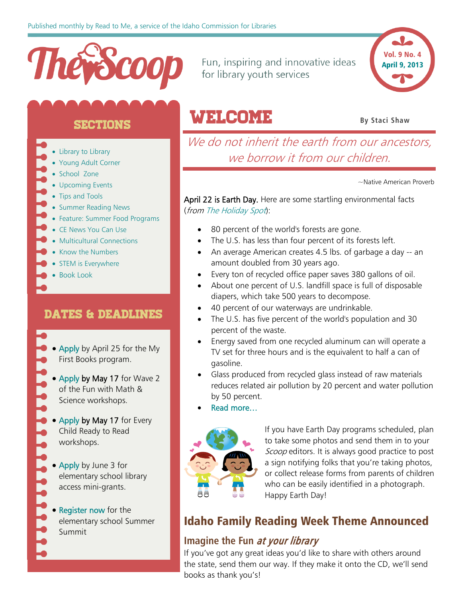

Fun, inspiring and innovative ideas for library youth services



#### **SECTIONS**

- [Library to Library](#page-1-0)
- [Young Adult Corner](#page-3-0)
- [School Zone](#page-3-1)
- [Upcoming Events](#page-5-0)
- [Tips and Tools](#page-5-1)
- [Summer Reading News](#page-7-0)
- [Feature: Summer Food Programs](#page-8-0)
- [CE News You Can Use](#page-9-0)
- [Multicultural Connections](#page-9-1)
- [Know the Numbers](#page-10-0)
- [STEM is Everywhere](#page-10-1)
- Book Look

#### DATES & DEADLINES

- - [Apply](http://libraries.idaho.gov/blogs/stacishaw/my-first-books-applications-2013-2014-available-now) by April 25 for the My First Books program.
	- [Apply](http://www.surveymonkey.com/s/FunwithMathScience2013) by May 17 for Wave 2 of the Fun with Math & Science workshops.
	- [Apply b](http://www.surveymonkey.com/s/ECRTR2013)y May 17 for Every Child Ready to Read workshops.
	- [Apply](http://libraries.idaho.gov/blogs/stephanie-bailey-white/elementary-school-library-mini-grant-application-open-now) by June 3 for elementary school library access mini-grants.
	- [Register now](http://www.eventbrite.com/event/5897781423/eorg) for the elementary school Summer Summit

# WelcomE **By Staci Shaw**

We do not inherit the earth from our ancestors, we borrow it from our children.

~Native American Proverb

April 22 is Earth Day. Here are some startling environmental facts (from [The Holiday Spot](http://www.theholidayspot.com/earth_day/)):

- 80 percent of the world's forests are gone.
- The U.S. has less than four percent of its forests left.
- An average American creates 4.5 lbs. of garbage a day -- an amount doubled from 30 years ago.
- Every ton of recycled office paper saves 380 gallons of oil.
- About one percent of U.S. landfill space is full of disposable diapers, which take 500 years to decompose.
- 40 percent of our waterways are undrinkable.
- The U.S. has five percent of the world's population and 30 percent of the waste.
- Energy saved from one recycled aluminum can will operate a TV set for three hours and is the equivalent to half a can of gasoline.
- Glass produced from recycled glass instead of raw materials reduces related air pollution by 20 percent and water pollution by 50 percent.
- Read more…



If you have Earth Day programs scheduled, plan to take some photos and send them in to your Scoop editors. It is always good practice to post a sign notifying folks that you're taking photos, or collect release forms from parents of children who can be easily identified in a photograph. Happy Earth Day!

#### Idaho Family Reading Week Theme Announced

#### **Imagine the Fun** at your library

If you've got any great ideas you'd like to share with others around the state, send them our way. If they make it onto the CD, we'll send books as thank you's!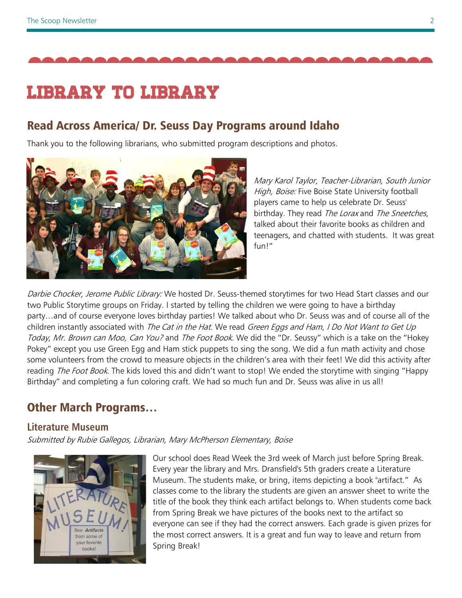

# Library to library

#### Read Across America/ Dr. Seuss Day Programs around Idaho

Thank you to the following librarians, who submitted program descriptions and photos.



<span id="page-1-0"></span>Mary Karol Taylor, Teacher-Librarian, South Junior High, Boise: Five Boise State University football players came to help us celebrate Dr. Seuss' birthday. They read The Lorax and The Sneetches. talked about their favorite books as children and teenagers, and chatted with students. It was great fun!"

Darbie Chocker, Jerome Public Library: We hosted Dr. Seuss-themed storytimes for two Head Start classes and our two Public Storytime groups on Friday. I started by telling the children we were going to have a birthday party…and of course everyone loves birthday parties! We talked about who Dr. Seuss was and of course all of the children instantly associated with The Cat in the Hat. We read Green Eggs and Ham, I Do Not Want to Get Up Today, Mr. Brown can Moo, Can You? and The Foot Book. We did the "Dr. Seussy" which is a take on the "Hokey Pokey" except you use Green Egg and Ham stick puppets to sing the song. We did a fun math activity and chose some volunteers from the crowd to measure objects in the children's area with their feet! We did this activity after reading *The Foot Book*. The kids loved this and didn't want to stop! We ended the storytime with singing "Happy Birthday" and completing a fun coloring craft. We had so much fun and Dr. Seuss was alive in us all!

#### Other March Programs…

#### **Literature Museum**

Submitted by Rubie Gallegos, Librarian, Mary McPherson Elementary, Boise



Our school does Read Week the 3rd week of March just before Spring Break. Every year the library and Mrs. Dransfield's 5th graders create a Literature Museum. The students make, or bring, items depicting a book "artifact." As classes come to the library the students are given an answer sheet to write the title of the book they think each artifact belongs to. When students come back from Spring Break we have pictures of the books next to the artifact so everyone can see if they had the correct answers. Each grade is given prizes for the most correct answers. It is a great and fun way to leave and return from Spring Break!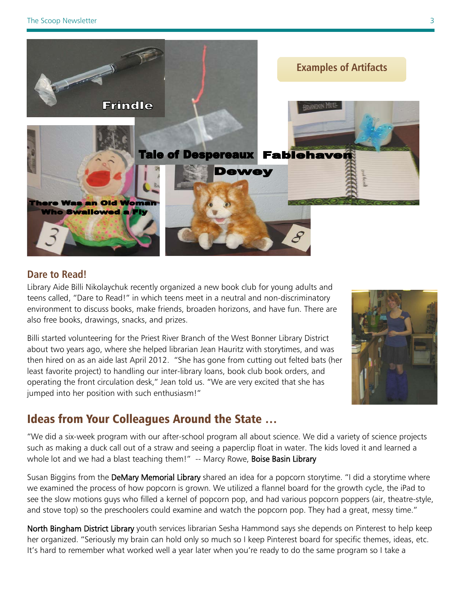

#### **Dare to Read!**

Library Aide Billi Nikolaychuk recently organized a new book club for young adults and teens called, "Dare to Read!" in which teens meet in a neutral and non-discriminatory environment to discuss books, make friends, broaden horizons, and have fun. There are also free books, drawings, snacks, and prizes.

Billi started volunteering for the Priest River Branch of the West Bonner Library District about two years ago, where she helped librarian Jean Hauritz with storytimes, and was then hired on as an aide last April 2012. "She has gone from cutting out felted bats (her least favorite project) to handling our inter-library loans, book club book orders, and operating the front circulation desk," Jean told us. "We are very excited that she has jumped into her position with such enthusiasm!"



#### Ideas from Your Colleagues Around the State …

"We did a six-week program with our after-school program all about science. We did a variety of science projects such as making a duck call out of a straw and seeing a paperclip float in water. The kids loved it and learned a whole lot and we had a blast teaching them!" -- Marcy Rowe, Boise Basin Library

Susan Biggins from the DeMary Memorial Library shared an idea for a popcorn storytime. "I did a storytime where we examined the process of how popcorn is grown. We utilized a flannel board for the growth cycle, the iPad to see the slow motions guys who filled a kernel of popcorn pop, and had various popcorn poppers (air, theatre-style, and stove top) so the preschoolers could examine and watch the popcorn pop. They had a great, messy time."

North Bingham District Library youth services librarian Sesha Hammond says she depends on Pinterest to help keep her organized. "Seriously my brain can hold only so much so I keep Pinterest board for specific themes, ideas, etc. It's hard to remember what worked well a year later when you're ready to do the same program so I take a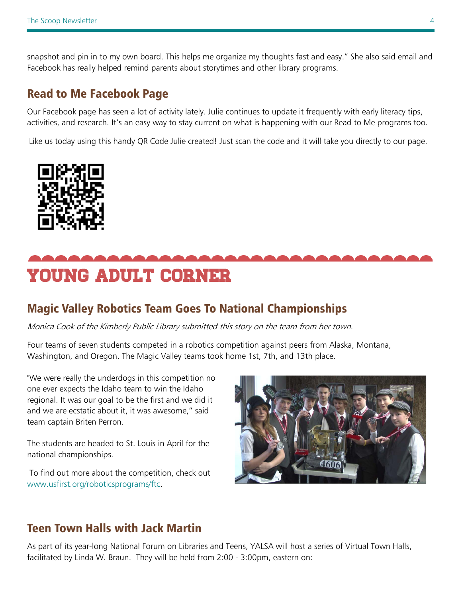snapshot and pin in to my own board. This helps me organize my thoughts fast and easy." She also said email and Facebook has really helped remind parents about storytimes and other library programs.

#### Read to Me Facebook Page

Our Facebook page has seen a lot of activity lately. Julie continues to update it frequently with early literacy tips, activities, and research. It's an easy way to stay current on what is happening with our Read to Me programs too.

Like us today using this handy QR Code Julie created! Just scan the code and it will take you directly to our page.



# <span id="page-3-0"></span>Young Adult corner

#### <span id="page-3-1"></span>Magic Valley Robotics Team Goes To National Championships

Monica Cook of the Kimberly Public Library submitted this story on the team from her town.

Four teams of seven students competed in a robotics competition against peers from Alaska, Montana, Washington, and Oregon. The Magic Valley teams took home 1st, 7th, and 13th place.

"We were really the underdogs in this competition no one ever expects the Idaho team to win the Idaho regional. It was our goal to be the first and we did it and we are ecstatic about it, it was awesome," said team captain Briten Perron.

The students are headed to St. Louis in April for the national championships.

To find out more about the competition, check out [www.usfirst.org/roboticsprograms/ftc.](http://www.usfirst.org/roboticsprograms/ftc)



#### Teen Town Halls with Jack Martin

As part of its year-long National Forum on Libraries and Teens, YALSA will host a series of Virtual Town Halls, facilitated by Linda W. Braun. They will be held from 2:00 - 3:00pm, eastern on: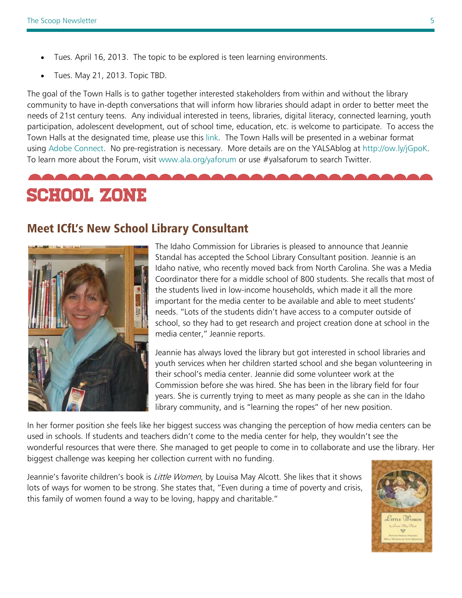- Tues. April 16, 2013. The topic to be explored is teen learning environments.
- Tues. May 21, 2013. Topic TBD.

The goal of the Town Halls is to gather together interested stakeholders from within and without the library community to have in-depth conversations that will inform how libraries should adapt in order to better meet the needs of 21st century teens. Any individual interested in teens, libraries, digital literacy, connected learning, youth participation, adolescent development, out of school time, education, etc. is welcome to participate. To access the Town Halls at the designated time, please use this [link.](http://connectpro87048468.adobeconnect.com/r880wgo83v5/) The Town Halls will be presented in a webinar format using [Adobe Connect.](http://helpx.adobe.com/adobe-connect.html) No pre-registration is necessary. More details are on the YALSAblog at [http://ow.ly/jGpoK.](http://ow.ly/jGpoK) To learn more about the Forum, visit [www.ala.org/yaforum](http://www.ala.org/yaforum) or use #yalsaforum to search Twitter.

# SCHOOL ZONE

#### Meet ICfL's New School Library Consultant



The Idaho Commission for Libraries is pleased to announce that Jeannie Standal has accepted the School Library Consultant position. Jeannie is an Idaho native, who recently moved back from North Carolina. She was a Media Coordinator there for a middle school of 800 students. She recalls that most of the students lived in low-income households, which made it all the more important for the media center to be available and able to meet students' needs. "Lots of the students didn't have access to a computer outside of school, so they had to get research and project creation done at school in the media center," Jeannie reports.

Jeannie has always loved the library but got interested in school libraries and youth services when her children started school and she began volunteering in their school's media center. Jeannie did some volunteer work at the Commission before she was hired. She has been in the library field for four years. She is currently trying to meet as many people as she can in the Idaho library community, and is "learning the ropes" of her new position.

In her former position she feels like her biggest success was changing the perception of how media centers can be used in schools. If students and teachers didn't come to the media center for help, they wouldn't see the wonderful resources that were there. She managed to get people to come in to collaborate and use the library. Her biggest challenge was keeping her collection current with no funding.

Jeannie's favorite children's book is *Little Women*, by Louisa May Alcott. She likes that it shows lots of ways for women to be strong. She states that, "Even during a time of poverty and crisis, this family of women found a way to be loving, happy and charitable."

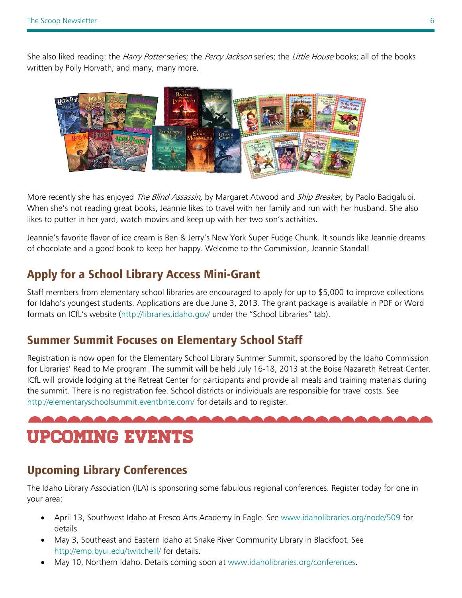She also liked reading: the *Harry Potter* series; the *Percy Jackson* series; the *Little House* books; all of the books written by Polly Horvath; and many, many more.



More recently she has enjoyed *The Blind Assassin*, by Margaret Atwood and *Ship Breaker*, by Paolo Bacigalupi. When she's not reading great books, Jeannie likes to travel with her family and run with her husband. She also likes to putter in her yard, watch movies and keep up with her two son's activities.

Jeannie's favorite flavor of ice cream is Ben & Jerry's New York Super Fudge Chunk. It sounds like Jeannie dreams of chocolate and a good book to keep her happy. Welcome to the Commission, Jeannie Standal!

## Apply for a School Library Access Mini-Grant

Staff members from elementary school libraries are encouraged to apply for up to \$5,000 to improve collections for Idaho's youngest students. Applications are due June 3, 2013. The grant package is available in PDF or Word formats on ICfL's website [\(http://libraries.idaho.gov/](http://libraries.idaho.gov/) under the "School Libraries" tab).

#### Summer Summit Focuses on Elementary School Staff

Registration is now open for the Elementary School Library Summer Summit, sponsored by the Idaho Commission for Libraries' Read to Me program. The summit will be held July 16-18, 2013 at the Boise Nazareth Retreat Center. ICfL will provide lodging at the Retreat Center for participants and provide all meals and training materials during the summit. There is no registration fee. School districts or individuals are responsible for travel costs. See <http://elementaryschoolsummit.eventbrite.com/> for details and to register.

# <span id="page-5-0"></span>Upcoming Events

# Upcoming Library Conferences

<span id="page-5-1"></span>The Idaho Library Association (ILA) is sponsoring some fabulous regional conferences. Register today for one in your area:

- April 13, Southwest Idaho at Fresco Arts Academy in Eagle. See [www.idaholibraries.org/node/509](http://www.idaholibraries.org/node/509) for details
- May 3, Southeast and Eastern Idaho at Snake River Community Library in Blackfoot. See <http://emp.byui.edu/twitchelll/> for details.
- May 10, Northern Idaho. Details coming soon at [www.idaholibraries.org/conferences.](http://www.idaholibraries.org/conferences)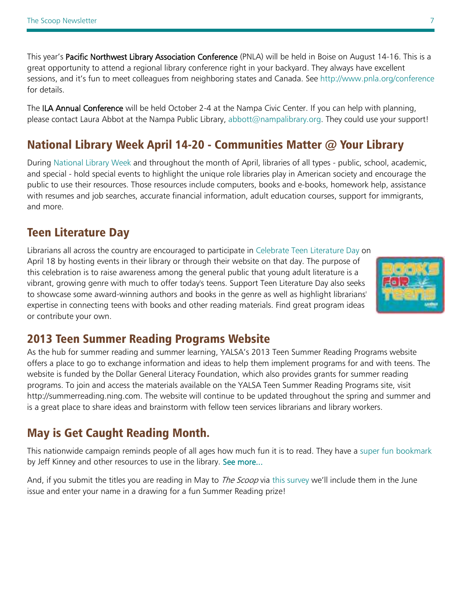This year's Pacific Northwest Library Association Conference (PNLA) will be held in Boise on August 14-16. This is a great opportunity to attend a regional library conference right in your backyard. They always have excellent sessions, and it's fun to meet colleagues from neighboring states and Canada. See<http://www.pnla.org/conference> for details.

The ILA Annual Conference will be held October 2-4 at the Nampa Civic Center. If you can help with planning, please contact Laura Abbot at the Nampa Public Library, [abbott@nampalibrary.org.](mailto:abbott@nampalibrary.org) They could use your support!

## National Library Week April 14-20 - Communities Matter @ Your Library

During [National Library Week](http://r20.rs6.net/tn.jsp?t=xiin8hmab.0.wl4sc4lab.4b9hayeab.9180&ts=S0899&p=http%3A%2F%2Fwww.ala.org%2Fconferencesevents%2Fcelebrationweeks%2Fnatlibraryweek) and throughout the month of April, libraries of all types - public, school, academic, and special - hold special events to highlight the unique role libraries play in American society and encourage the public to use their resources. Those resources include computers, books and e-books, homework help, assistance with resumes and job searches, accurate financial information, adult education courses, support for immigrants, and more.

## Teen Literature Day

Librarians all across the country are encouraged to participate in [Celebrate Teen Literature Day](http://r20.rs6.net/tn.jsp?t=xiin8hmab.0.9odmppmab.4b9hayeab.9180&ts=S0899&p=http%3A%2F%2Fwikis.ala.org%2Fyalsa%2Findex.php%2FCelebrate_Teen_Literature_Day) on April 18 by hosting events in their library or through their website on that day. The purpose of this celebration is to raise awareness among the general public that young adult literature is a vibrant, growing genre with much to offer today's teens. Support Teen Literature Day also seeks to showcase some award-winning authors and books in the genre as well as highlight librarians' expertise in connecting teens with books and other reading materials. Find great program ideas or contribute your own.



#### 2013 Teen Summer Reading Programs Website

As the hub for summer reading and summer learning, YALSA's 2013 Teen Summer Reading Programs website offers a place to go to exchange information and ideas to help them implement programs for and with teens. The website is funded by the Dollar General Literacy Foundation, which also provides grants for summer reading programs. To join and access the materials available on the YALSA Teen Summer Reading Programs site, visit [http://summerreading.ning.com.](http://ala.us1.list-manage2.com/track/click?u=b9b7f12a0545b1a14ef19a691&id=3d207a95aa&e=90c1a6a203) The website will continue to be updated throughout the spring and summer and is a great place to share ideas and brainstorm with fellow teen services librarians and library workers.

# May is Get Caught Reading Month.

This nationwide campaign reminds people of all ages how much fun it is to read. They have a [super fun bookmark](http://www.bookweekonline.com/bookmark) by Jeff Kinney and other resources to use in the library. [See more...](http://www.getcaughtreading.org/getcaughtreading.htm)

And, if you submit the titles you are reading in May to *The Scoop* via this [survey](http://www.surveymonkey.com/s/get-caught-reading) we'll include them in the June issue and enter your name in a drawing for a fun Summer Reading prize!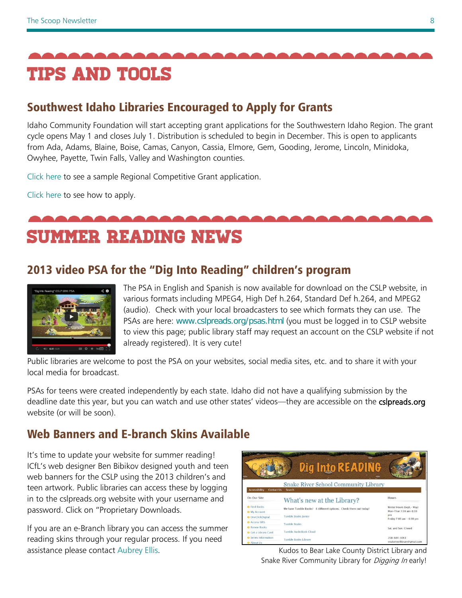

# Southwest Idaho Libraries Encouraged to Apply for Grants

Idaho Community Foundation will start accepting grant applications for the Southwestern Idaho Region. The grant cycle opens May 1 and closes July 1. Distribution is scheduled to begin in December. This is open to applicants from Ada, Adams, Blaine, Boise, Camas, Canyon, Cassia, Elmore, Gem, Gooding, Jerome, Lincoln, Minidoka, Owyhee, Payette, Twin Falls, Valley and Washington counties.

[Click here](http://www.idcomfdn.org/document.doc?id=4) to see a sample Regional Competitive Grant application.

[Click here](http://www.idcomfdn.org/document.doc?id=190) to see how to apply.

<span id="page-7-0"></span>summer reading news

# 2013 video PSA for the "Dig Into Reading" children's program



The PSA in English and Spanish is now available for download on the CSLP website, in various formats including MPEG4, High Def h.264, Standard Def h.264, and MPEG2 (audio). Check with your local broadcasters to see which formats they can use. The PSAs are here: [www.cslpreads.org/psas.html](http://www.cslpreads.org/psas.html) (you must be logged in to CSLP website to view this page; public library staff may request an account on the CSLP website if not already registered). It is very cute!

Public libraries are welcome to post the PSA on your websites, social media sites, etc. and to share it with your local media for broadcast.

PSAs for teens were created independently by each state. Idaho did not have a qualifying submission by the deadline date this year, but you can watch and use other states' videos—they are accessible on the csipreads.org website (or will be soon).

# Web Banners and E-branch Skins Available

It's time to update your website for summer reading! ICfL's web designer Ben Bibikov designed youth and teen web banners for the CSLP using the 2013 children's and teen artwork. Public libraries can access these by logging in to the cslpreads.org website with your username and password. Click on "Proprietary Downloads.

If you are an e-Branch library you can access the summer reading skins through your regular process. If you need assistance please contact [Aubrey Ellis.](mailto:aubrey.ellis@libraries.idaho.gov) The according term of the Kudos to Bear Lake County District Library and

|                                                  | Dig Into READING                                                 |                                                    |
|--------------------------------------------------|------------------------------------------------------------------|----------------------------------------------------|
| <b>Accessibility</b><br><b>Contact Us</b>        | <b>Snake River School Community Library</b><br>Search            |                                                    |
| On Our Site                                      | What's new at the Library?                                       | <b>Hours</b>                                       |
| <b>D</b> Find Books<br><b>O</b> My Account       | We have Tumble Books! 4 different options. Check them out today! | Winter Hours (Sept.- May)<br>Mon-Thur 7:00 am-8:00 |
| <b>O</b> OneClickDigital                         | Tumble Books Junior                                              | pm<br>Friday 7:00 am - 6:00 pm                     |
| <b>D</b> Access SIRS<br><b>D</b> Renew Rooks     | <b>Tumble Books</b>                                              | Sat. and Sun. Closed                               |
| <b>O</b> Get a Library Card                      | Tumble AudioBook Cloud                                           |                                                    |
| <b>O</b> Series Information<br><b>O</b> About Us | Tumble Books Library                                             | 208-684-3063<br>snakeriverlibrary@gmail.com        |

Snake River Community Library for *Digging In* early!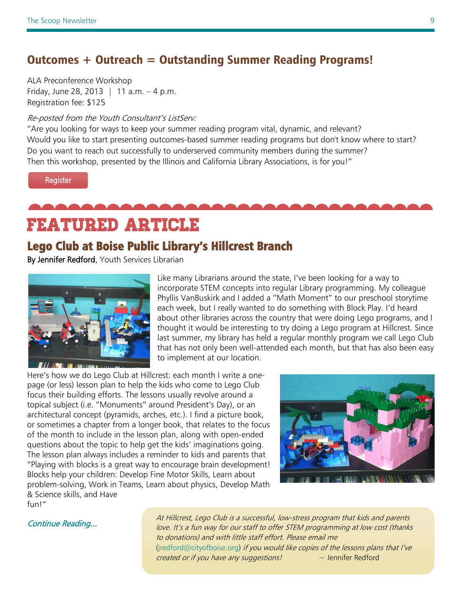#### Outcomes + Outreach = Outstanding Summer Reading Programs!

ALA Preconference Workshop Friday, June 28, 2013 | 11 a.m.  $-4$  p.m. Registration fee: \$125

#### Re-posted from the Youth Consultant's ListServ:

"Are you looking for ways to keep your summer reading program vital, dynamic, and relevant? Would you like to start presenting outcomes-based summer reading programs but don't know where to start? Do you want to reach out successfully to underserved community members during the summer? Then this workshop, presented by the Illinois and California Library Associations, is for you!"

Register

<span id="page-8-0"></span>Featured Article

#### Lego Club at Boise Public Library's Hillcrest Branch

By Jennifer Redford, Youth Services Librarian



Like many Librarians around the state, I've been looking for a way to incorporate STEM concepts into regular Library programming. My colleague Phyllis VanBuskirk and I added a "Math Moment" to our preschool storytime each week, but I really wanted to do something with Block Play. I'd heard about other libraries across the country that were doing Lego programs, and I thought it would be interesting to try doing a Lego program at Hillcrest. Since last summer, my library has held a regular monthly program we call Lego Club that has not only been well-attended each month, but that has also been easy to implement at our location.

Here's how we do Lego Club at Hillcrest: each month I write a onepage (or less) lesson plan to help the kids who come to Lego Club focus their building efforts. The lessons usually revolve around a topical subject (i.e. "Monuments" around President's Day), or an architectural concept (pyramids, arches, etc.). I find a picture book, or sometimes a chapter from a longer book, that relates to the focus of the month to include in the lesson plan, along with open-ended questions about the topic to help get the kids' imaginations going. The lesson plan always includes a reminder to kids and parents that "Playing with blocks is a great way to encourage brain development! Blocks help your children: Develop Fine Motor Skills, Learn about problem-solving, Work in Teams, Learn about physics, Develop Math & Science skills, and Have fun!"



At Hillcrest, Lego Club is a successful, low-stress program that kids and parents<br>Love this a fun way for our staff to offer STEM programming at low-set (thanks love. It's a fun way for our staff to offer STEM programming at low cost (thanks to donations) and with little staff effort. Please email me [\(jredford@cityofboise.org\)](mailto:jredford@cityofboise.org) if you would like copies of the lessons plans that I've *created or if you have any suggestions!*  $\sim$  Jennifer Redford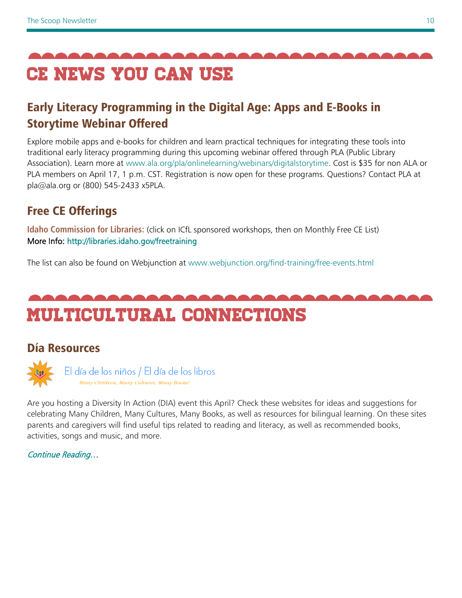<span id="page-9-0"></span>

# Early Literacy Programming in the Digital Age: Apps and E-Books in Storytime Webinar Offered

Explore mobile apps and e-books for children and learn practical techniques for integrating these tools into traditional early literacy programming during this upcoming webinar offered through PLA (Public Library Association). Learn more at [www.ala.org/pla/onlinelearning/webinars/digitalstorytime.](http://www.ala.org/pla/onlinelearning/webinars/digitalstorytime) Cost is \$35 for non ALA or PLA members on April 17, 1 p.m. CST. Registration is now open for these programs. Questions? Contact PLA at pla@ala.org or (800) 545-2433 x5PLA.

# Free CE Offerings

**Idaho Commission for Libraries:** (click on ICfL sponsored workshops, then on Monthly Free CE List) More Info:<http://libraries.idaho.gov/freetraining>

The list can also be found on Webjunction at [www.webjunction.org/find-training/free-events.html](http://www.webjunction.org/find-training/free-events.html)

# <span id="page-9-1"></span>Multicultural connections

# Día Resources

El día de los niños / El día de los libros Many Children, Many Cultures, Many Books!

Are you hosting a Diversity In Action (DIA) event this April? Check these websites for ideas and suggestions for celebrating Many Children, Many Cultures, Many Books, as well as resources for bilingual learning. On these sites parents and caregivers will find useful tips related to reading and literacy, as well as recommended books, activities, songs and music, and more.

[Continue Reading…](http://dia.ala.org/parents-children)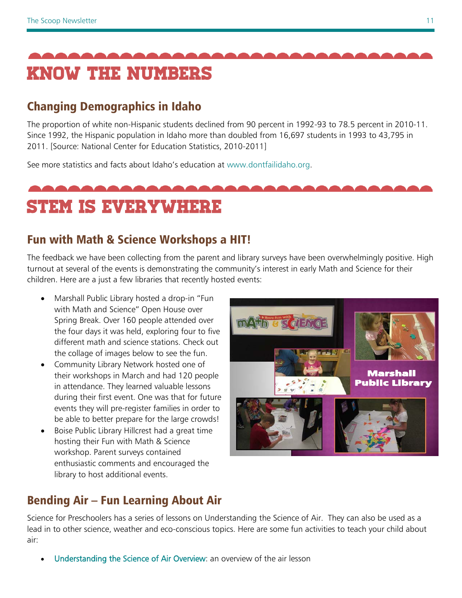<span id="page-10-0"></span>

# Changing Demographics in Idaho

<span id="page-10-1"></span>The proportion of white non-Hispanic students declined from 90 percent in 1992-93 to 78.5 percent in 2010-11. Since 1992, the Hispanic population in Idaho more than doubled from 16,697 students in 1993 to 43,795 in 2011. [Source: National Center for Education Statistics, 2010-2011]

See more statistics and facts about Idaho's education at [www.dontfailidaho.org.](http://www.dontfailidaho.org/)

# STEM is everywhere

# Fun with Math & Science Workshops a HIT!

The feedback we have been collecting from the parent and library surveys have been overwhelmingly positive. High turnout at several of the events is demonstrating the community's interest in early Math and Science for their children. Here are a just a few libraries that recently hosted events:

- Marshall Public Library hosted a drop-in "Fun with Math and Science" Open House over Spring Break. Over 160 people attended over the four days it was held, exploring four to five different math and science stations. Check out the collage of images below to see the fun.
- Community Library Network hosted one of their workshops in March and had 120 people in attendance. They learned valuable lessons during their first event. One was that for future events they will pre-register families in order to be able to better prepare for the large crowds!
- Boise Public Library Hillcrest had a great time hosting their Fun with Math & Science workshop. Parent surveys contained enthusiastic comments and encouraged the library to host additional events.



# Bending Air – Fun Learning About Air

Science for Preschoolers has a series of lessons on Understanding the Science of Air. They can also be used as a lead in to other science, weather and eco-conscious topics. Here are some fun activities to teach your child about air:

[Understanding the Science of Air Overview:](http://ct.ebizac.com/t.php/352199/1/B/H/10528876/3768/) an overview of the air lesson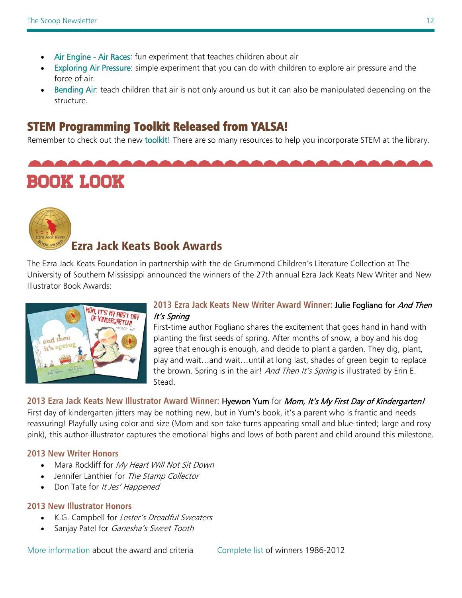- [Air Engine Air Races:](http://ct.ebizac.com/t.php/352199/2/B/H/10528876/3768/) fun experiment that teaches children about air
- [Exploring Air Pressure:](http://ct.ebizac.com/t.php/352199/3/B/H/10528876/3768/) simple experiment that you can do with children to explore air pressure and the force of air.
- [Bending Air:](http://ct.ebizac.com/t.php/352199/4/B/H/10528876/3768/) teach children that air is not only around us but it can also be manipulated depending on the structure.

#### STEM Programming Toolkit Released from YALSA!

Remember to check out the new [toolkit!](http://www.ala.org/yalsa/sites/ala.org.yalsa/files/content/STEMtoolkit_Final_2013.docx) There are so many resources to help you incorporate STEM at the library.

Book look



#### Ezra Jack Keats Book Awards

The Ezra Jack Keats Foundation in partnership with the de Grummond Children's Literature Collection at The University of Southern Mississippi announced the winners of the 27th annual Ezra Jack Keats New Writer and New Illustrator Book Awards:



#### **2013 Ezra Jack Keats New Writer Award Winner:** Julie Fogliano for And Then It's Spring

First-time author Fogliano shares the excitement that goes hand in hand with planting the first seeds of spring. After months of snow, a boy and his dog agree that enough is enough, and decide to plant a garden. They dig, plant, play and wait…and wait…until at long last, shades of green begin to replace the brown. Spring is in the air! And Then It's Spring is illustrated by Erin E. Stead.

#### **2013 Ezra Jack Keats New Illustrator Award Winner:** Hyewon Yum for Mom, It's My First Day of Kindergarten!

First day of kindergarten jitters may be nothing new, but in Yum's book, it's a parent who is frantic and needs reassuring! Playfully using color and size (Mom and son take turns appearing small and blue-tinted; large and rosy pink), this author-illustrator captures the emotional highs and lows of both parent and child around this milestone.

#### **2013 New Writer Honors**

- Mara Rockliff for My Heart Will Not Sit Down
- Jennifer Lanthier for The Stamp Collector
- Don Tate for It Jes' Happened

#### **2013 New Illustrator Honors**

- K.G. Campbell for Lester's Dreadful Sweaters
- Sanjay Patel for *Ganesha's Sweet Tooth*

[More information](http://www.ezra-jack-keats.org/ezra-jack-keats-award-winners/) about the award and criteria [Complete list](http://www.ezra-jack-keats.org/ejk-new-writer-and-new-illustrator-awards/) of winners 1986-2012